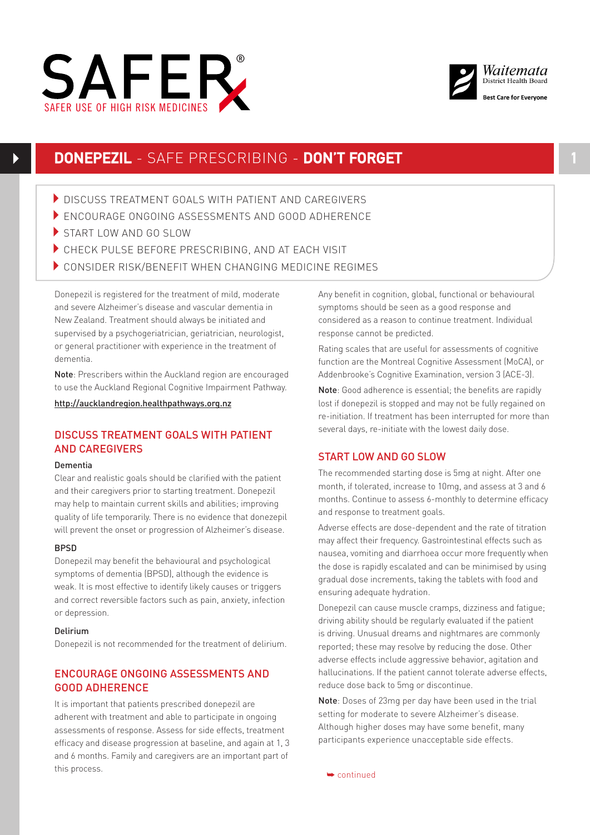



# **DONEPEZIL** - SAFE PRESCRIBING - **DON'T FORGET 1**

- **DISCUSS TREATMENT GOALS WITH PATIENT AND CAREGIVERS**
- ENCOURAGE ONGOING ASSESSMENTS AND GOOD ADHERENCE
- START LOW AND GO SLOW
- CHECK PULSE BEFORE PRESCRIBING, AND AT EACH VISIT
- CONSIDER RISK/BENEFIT WHEN CHANGING MEDICINE REGIMES

Donepezil is registered for the treatment of mild, moderate and severe Alzheimer's disease and vascular dementia in New Zealand. Treatment should always be initiated and supervised by a psychogeriatrician, geriatrician, neurologist, or general practitioner with experience in the treatment of dementia.

Note: Prescribers within the Auckland region are encouraged to use the Auckland Regional Cognitive Impairment Pathway.

http://aucklandregion.healthpathways.org.nz

# DISCUSS TREATMENT GOALS WITH PATIENT AND CAREGIVERS

#### Dementia

Clear and realistic goals should be clarified with the patient and their caregivers prior to starting treatment. Donepezil may help to maintain current skills and abilities; improving quality of life temporarily. There is no evidence that donezepil will prevent the onset or progression of Alzheimer's disease.

### BPSD

Donepezil may benefit the behavioural and psychological symptoms of dementia (BPSD), although the evidence is weak. It is most effective to identify likely causes or triggers and correct reversible factors such as pain, anxiety, infection or depression.

### Delirium

Donepezil is not recommended for the treatment of delirium.

# ENCOURAGE ONGOING ASSESSMENTS AND GOOD ADHERENCE

It is important that patients prescribed donepezil are adherent with treatment and able to participate in ongoing assessments of response. Assess for side effects, treatment efficacy and disease progression at baseline, and again at 1, 3 and 6 months. Family and caregivers are an important part of this process.

Any benefit in cognition, global, functional or behavioural symptoms should be seen as a good response and considered as a reason to continue treatment. Individual response cannot be predicted.

Rating scales that are useful for assessments of cognitive function are the Montreal Cognitive Assessment (MoCA), or Addenbrooke's Cognitive Examination, version 3 (ACE-3).

Note: Good adherence is essential; the benefits are rapidly lost if donepezil is stopped and may not be fully regained on re-initiation. If treatment has been interrupted for more than several days, re-initiate with the lowest daily dose.

# START LOW AND GO SLOW

The recommended starting dose is 5mg at night. After one month, if tolerated, increase to 10mg, and assess at 3 and 6 months. Continue to assess 6-monthly to determine efficacy and response to treatment goals.

Adverse effects are dose-dependent and the rate of titration may affect their frequency. Gastrointestinal effects such as nausea, vomiting and diarrhoea occur more frequently when the dose is rapidly escalated and can be minimised by using gradual dose increments, taking the tablets with food and ensuring adequate hydration.

Donepezil can cause muscle cramps, dizziness and fatigue; driving ability should be regularly evaluated if the patient is driving. Unusual dreams and nightmares are commonly reported; these may resolve by reducing the dose. Other adverse effects include aggressive behavior, agitation and hallucinations. If the patient cannot tolerate adverse effects, reduce dose back to 5mg or discontinue.

Note: Doses of 23mg per day have been used in the trial setting for moderate to severe Alzheimer's disease. Although higher doses may have some benefit, many participants experience unacceptable side effects.

➥ continued